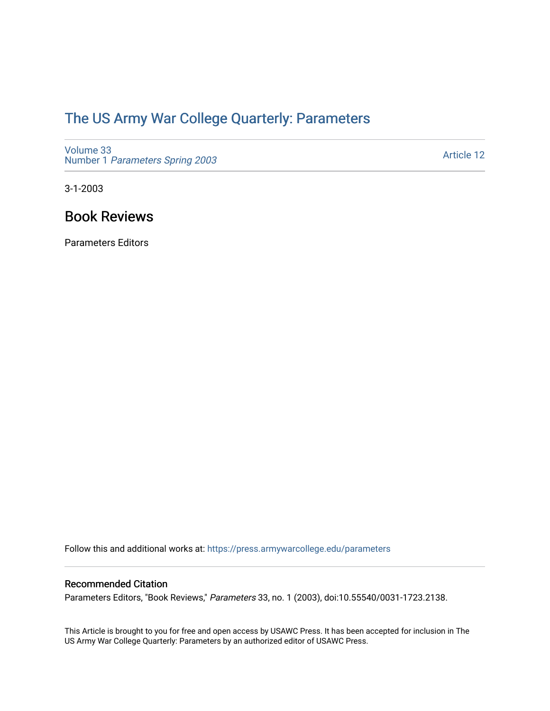## [The US Army War College Quarterly: Parameters](https://press.armywarcollege.edu/parameters)

[Volume 33](https://press.armywarcollege.edu/parameters/vol33) Number 1 [Parameters Spring 2003](https://press.armywarcollege.edu/parameters/vol33/iss1) 

[Article 12](https://press.armywarcollege.edu/parameters/vol33/iss1/12) 

3-1-2003

### Book Reviews

Parameters Editors

Follow this and additional works at: [https://press.armywarcollege.edu/parameters](https://press.armywarcollege.edu/parameters?utm_source=press.armywarcollege.edu%2Fparameters%2Fvol33%2Fiss1%2F12&utm_medium=PDF&utm_campaign=PDFCoverPages) 

### Recommended Citation

Parameters Editors, "Book Reviews," Parameters 33, no. 1 (2003), doi:10.55540/0031-1723.2138.

This Article is brought to you for free and open access by USAWC Press. It has been accepted for inclusion in The US Army War College Quarterly: Parameters by an authorized editor of USAWC Press.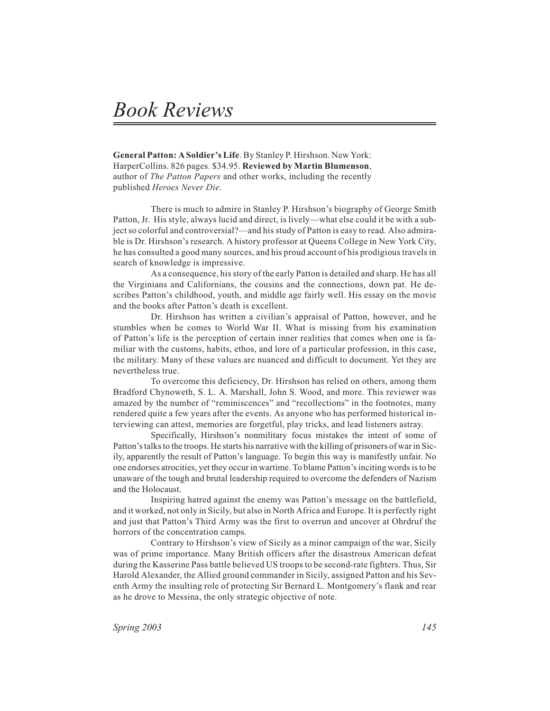# *Book Reviews*

**General Patton: A Soldier's Life**. By Stanley P. Hirshson. New York: HarperCollins. 826 pages. \$34.95. **Reviewed by Martin Blumenson**, author of *The Patton Papers* and other works, including the recently published *Heroes Never Die.*

There is much to admire in Stanley P. Hirshson's biography of George Smith Patton, Jr. His style, always lucid and direct, is lively—what else could it be with a subject so colorful and controversial?—and his study of Patton is easy to read. Also admirable is Dr. Hirshson's research. A history professor at Queens College in New York City, he has consulted a good many sources, and his proud account of his prodigious travels in search of knowledge is impressive.

As a consequence, his story of the early Patton is detailed and sharp. He has all the Virginians and Californians, the cousins and the connections, down pat. He describes Patton's childhood, youth, and middle age fairly well. His essay on the movie and the books after Patton's death is excellent.

Dr. Hirshson has written a civilian's appraisal of Patton, however, and he stumbles when he comes to World War II. What is missing from his examination of Patton's life is the perception of certain inner realities that comes when one is familiar with the customs, habits, ethos, and lore of a particular profession, in this case, the military. Many of these values are nuanced and difficult to document. Yet they are nevertheless true.

To overcome this deficiency, Dr. Hirshson has relied on others, among them Bradford Chynoweth, S. L. A. Marshall, John S. Wood, and more. This reviewer was amazed by the number of "reminiscences" and "recollections" in the footnotes, many rendered quite a few years after the events. As anyone who has performed historical interviewing can attest, memories are forgetful, play tricks, and lead listeners astray.

Specifically, Hirshson's nonmilitary focus mistakes the intent of some of Patton's talks to the troops. He starts his narrative with the killing of prisoners of war in Sicily, apparently the result of Patton's language. To begin this way is manifestly unfair. No one endorses atrocities, yet they occur in wartime. To blame Patton's inciting words is to be unaware of the tough and brutal leadership required to overcome the defenders of Nazism and the Holocaust.

Inspiring hatred against the enemy was Patton's message on the battlefield, and it worked, not only in Sicily, but also in North Africa and Europe. It is perfectly right and just that Patton's Third Army was the first to overrun and uncover at Ohrdruf the horrors of the concentration camps.

Contrary to Hirshson's view of Sicily as a minor campaign of the war, Sicily was of prime importance. Many British officers after the disastrous American defeat during the Kasserine Pass battle believed US troops to be second-rate fighters. Thus, Sir Harold Alexander, the Allied ground commander in Sicily, assigned Patton and his Seventh Army the insulting role of protecting Sir Bernard L. Montgomery's flank and rear as he drove to Messina, the only strategic objective of note.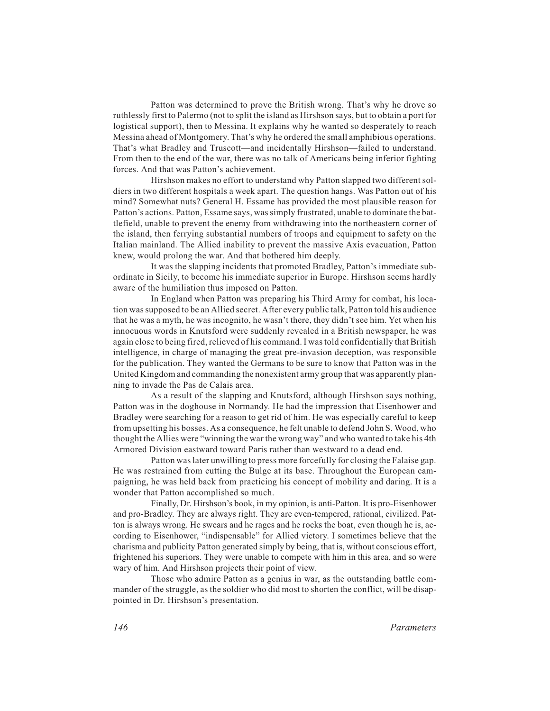Patton was determined to prove the British wrong. That's why he drove so ruthlessly first to Palermo (not to split the island as Hirshson says, but to obtain a port for logistical support), then to Messina. It explains why he wanted so desperately to reach Messina ahead of Montgomery. That's why he ordered the small amphibious operations. That's what Bradley and Truscott—and incidentally Hirshson—failed to understand. From then to the end of the war, there was no talk of Americans being inferior fighting forces. And that was Patton's achievement.

Hirshson makes no effort to understand why Patton slapped two different soldiers in two different hospitals a week apart. The question hangs. Was Patton out of his mind? Somewhat nuts? General H. Essame has provided the most plausible reason for Patton's actions. Patton, Essame says, was simply frustrated, unable to dominate the battlefield, unable to prevent the enemy from withdrawing into the northeastern corner of the island, then ferrying substantial numbers of troops and equipment to safety on the Italian mainland. The Allied inability to prevent the massive Axis evacuation, Patton knew, would prolong the war. And that bothered him deeply.

It was the slapping incidents that promoted Bradley, Patton's immediate subordinate in Sicily, to become his immediate superior in Europe. Hirshson seems hardly aware of the humiliation thus imposed on Patton.

In England when Patton was preparing his Third Army for combat, his location was supposed to be an Allied secret. After every public talk, Patton told his audience that he was a myth, he was incognito, he wasn't there, they didn't see him. Yet when his innocuous words in Knutsford were suddenly revealed in a British newspaper, he was again close to being fired, relieved of his command. I was told confidentially that British intelligence, in charge of managing the great pre-invasion deception, was responsible for the publication. They wanted the Germans to be sure to know that Patton was in the United Kingdom and commanding the nonexistent army group that was apparently planning to invade the Pas de Calais area.

As a result of the slapping and Knutsford, although Hirshson says nothing, Patton was in the doghouse in Normandy. He had the impression that Eisenhower and Bradley were searching for a reason to get rid of him. He was especially careful to keep from upsetting his bosses. As a consequence, he felt unable to defend John S. Wood, who thought the Allies were "winning the war the wrong way" and who wanted to take his 4th Armored Division eastward toward Paris rather than westward to a dead end.

Patton was later unwilling to press more forcefully for closing the Falaise gap. He was restrained from cutting the Bulge at its base. Throughout the European campaigning, he was held back from practicing his concept of mobility and daring. It is a wonder that Patton accomplished so much.

Finally, Dr. Hirshson's book, in my opinion, is anti-Patton. It is pro-Eisenhower and pro-Bradley. They are always right. They are even-tempered, rational, civilized. Patton is always wrong. He swears and he rages and he rocks the boat, even though he is, according to Eisenhower, "indispensable" for Allied victory. I sometimes believe that the charisma and publicity Patton generated simply by being, that is, without conscious effort, frightened his superiors. They were unable to compete with him in this area, and so were wary of him. And Hirshson projects their point of view.

Those who admire Patton as a genius in war, as the outstanding battle commander of the struggle, as the soldier who did most to shorten the conflict, will be disappointed in Dr. Hirshson's presentation.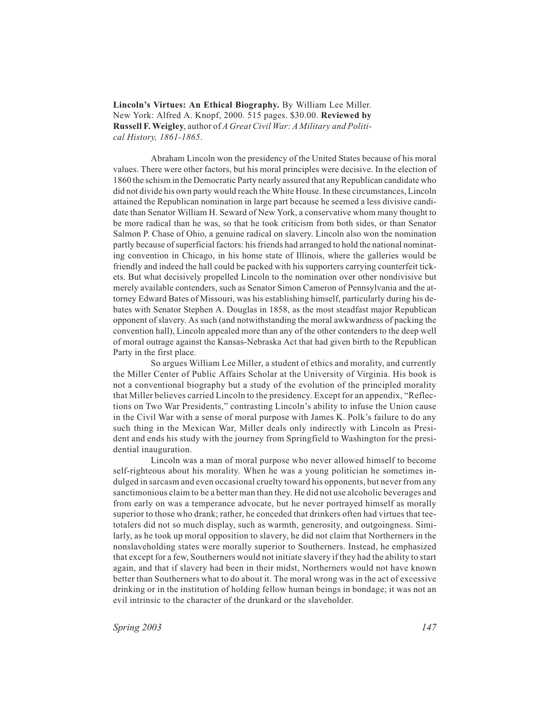**Lincoln's Virtues: An Ethical Biography.** By William Lee Miller. New York: Alfred A. Knopf, 2000. 515 pages. \$30.00. **Reviewed by Russell F. Weigley**, author of *A Great Civil War: A Military and Political History, 1861-1865*.

Abraham Lincoln won the presidency of the United States because of his moral values. There were other factors, but his moral principles were decisive. In the election of 1860 the schism in the Democratic Party nearly assured that any Republican candidate who did not divide his own party would reach the White House. In these circumstances, Lincoln attained the Republican nomination in large part because he seemed a less divisive candidate than Senator William H. Seward of New York, a conservative whom many thought to be more radical than he was, so that he took criticism from both sides, or than Senator Salmon P. Chase of Ohio, a genuine radical on slavery. Lincoln also won the nomination partly because of superficial factors: his friends had arranged to hold the national nominating convention in Chicago, in his home state of Illinois, where the galleries would be friendly and indeed the hall could be packed with his supporters carrying counterfeit tickets. But what decisively propelled Lincoln to the nomination over other nondivisive but merely available contenders, such as Senator Simon Cameron of Pennsylvania and the attorney Edward Bates of Missouri, was his establishing himself, particularly during his debates with Senator Stephen A. Douglas in 1858, as the most steadfast major Republican opponent of slavery. As such (and notwithstanding the moral awkwardness of packing the convention hall), Lincoln appealed more than any of the other contenders to the deep well of moral outrage against the Kansas-Nebraska Act that had given birth to the Republican Party in the first place.

So argues William Lee Miller, a student of ethics and morality, and currently the Miller Center of Public Affairs Scholar at the University of Virginia. His book is not a conventional biography but a study of the evolution of the principled morality that Miller believes carried Lincoln to the presidency. Except for an appendix, "Reflections on Two War Presidents," contrasting Lincoln's ability to infuse the Union cause in the Civil War with a sense of moral purpose with James K. Polk's failure to do any such thing in the Mexican War, Miller deals only indirectly with Lincoln as President and ends his study with the journey from Springfield to Washington for the presidential inauguration.

Lincoln was a man of moral purpose who never allowed himself to become self-righteous about his morality. When he was a young politician he sometimes indulged in sarcasm and even occasional cruelty toward his opponents, but never from any sanctimonious claim to be a better man than they. He did not use alcoholic beverages and from early on was a temperance advocate, but he never portrayed himself as morally superior to those who drank; rather, he conceded that drinkers often had virtues that teetotalers did not so much display, such as warmth, generosity, and outgoingness. Similarly, as he took up moral opposition to slavery, he did not claim that Northerners in the nonslaveholding states were morally superior to Southerners. Instead, he emphasized that except for a few, Southerners would not initiate slavery if they had the ability to start again, and that if slavery had been in their midst, Northerners would not have known better than Southerners what to do about it. The moral wrong was in the act of excessive drinking or in the institution of holding fellow human beings in bondage; it was not an evil intrinsic to the character of the drunkard or the slaveholder.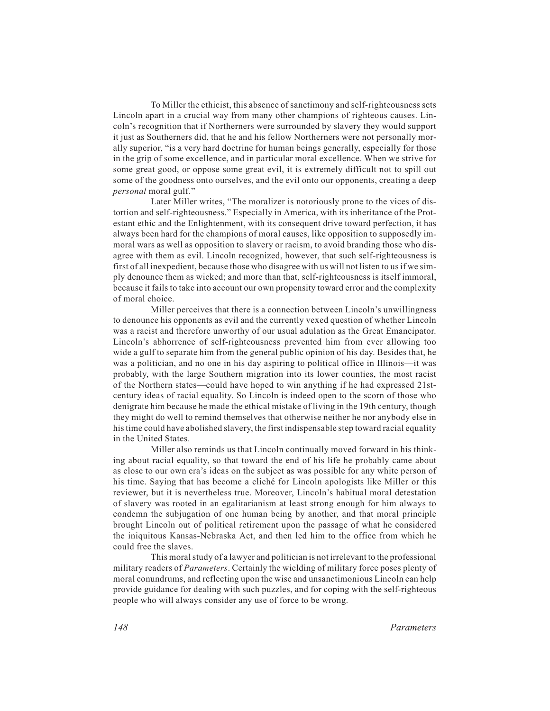To Miller the ethicist, this absence of sanctimony and self-righteousness sets Lincoln apart in a crucial way from many other champions of righteous causes. Lincoln's recognition that if Northerners were surrounded by slavery they would support it just as Southerners did, that he and his fellow Northerners were not personally morally superior, "is a very hard doctrine for human beings generally, especially for those in the grip of some excellence, and in particular moral excellence. When we strive for some great good, or oppose some great evil, it is extremely difficult not to spill out some of the goodness onto ourselves, and the evil onto our opponents, creating a deep *personal* moral gulf."

Later Miller writes, "The moralizer is notoriously prone to the vices of distortion and self-righteousness." Especially in America, with its inheritance of the Protestant ethic and the Enlightenment, with its consequent drive toward perfection, it has always been hard for the champions of moral causes, like opposition to supposedly immoral wars as well as opposition to slavery or racism, to avoid branding those who disagree with them as evil. Lincoln recognized, however, that such self-righteousness is first of all inexpedient, because those who disagree with us will not listen to us if we simply denounce them as wicked; and more than that, self-righteousness is itself immoral, because it fails to take into account our own propensity toward error and the complexity of moral choice.

Miller perceives that there is a connection between Lincoln's unwillingness to denounce his opponents as evil and the currently vexed question of whether Lincoln was a racist and therefore unworthy of our usual adulation as the Great Emancipator. Lincoln's abhorrence of self-righteousness prevented him from ever allowing too wide a gulf to separate him from the general public opinion of his day. Besides that, he was a politician, and no one in his day aspiring to political office in Illinois—it was probably, with the large Southern migration into its lower counties, the most racist of the Northern states—could have hoped to win anything if he had expressed 21stcentury ideas of racial equality. So Lincoln is indeed open to the scorn of those who denigrate him because he made the ethical mistake of living in the 19th century, though they might do well to remind themselves that otherwise neither he nor anybody else in his time could have abolished slavery, the first indispensable step toward racial equality in the United States.

Miller also reminds us that Lincoln continually moved forward in his thinking about racial equality, so that toward the end of his life he probably came about as close to our own era's ideas on the subject as was possible for any white person of his time. Saying that has become a cliché for Lincoln apologists like Miller or this reviewer, but it is nevertheless true. Moreover, Lincoln's habitual moral detestation of slavery was rooted in an egalitarianism at least strong enough for him always to condemn the subjugation of one human being by another, and that moral principle brought Lincoln out of political retirement upon the passage of what he considered the iniquitous Kansas-Nebraska Act, and then led him to the office from which he could free the slaves.

This moral study of a lawyer and politician is not irrelevant to the professional military readers of *Parameters*. Certainly the wielding of military force poses plenty of moral conundrums, and reflecting upon the wise and unsanctimonious Lincoln can help provide guidance for dealing with such puzzles, and for coping with the self-righteous people who will always consider any use of force to be wrong.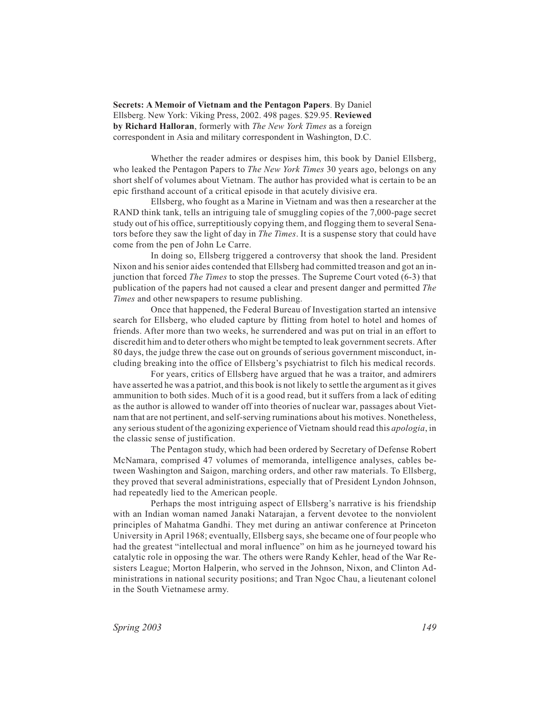**Secrets: A Memoir of Vietnam and the Pentagon Papers**. By Daniel Ellsberg. New York: Viking Press, 2002. 498 pages. \$29.95. **Reviewed by Richard Halloran**, formerly with *The New York Times* as a foreign correspondent in Asia and military correspondent in Washington, D.C.

Whether the reader admires or despises him, this book by Daniel Ellsberg, who leaked the Pentagon Papers to *The New York Times* 30 years ago, belongs on any short shelf of volumes about Vietnam. The author has provided what is certain to be an epic firsthand account of a critical episode in that acutely divisive era.

Ellsberg, who fought as a Marine in Vietnam and was then a researcher at the RAND think tank, tells an intriguing tale of smuggling copies of the 7,000-page secret study out of his office, surreptitiously copying them, and flogging them to several Senators before they saw the light of day in *The Times*. It is a suspense story that could have come from the pen of John Le Carre.

In doing so, Ellsberg triggered a controversy that shook the land. President Nixon and his senior aides contended that Ellsberg had committed treason and got an injunction that forced *The Times* to stop the presses. The Supreme Court voted (6-3) that publication of the papers had not caused a clear and present danger and permitted *The Times* and other newspapers to resume publishing.

Once that happened, the Federal Bureau of Investigation started an intensive search for Ellsberg, who eluded capture by flitting from hotel to hotel and homes of friends. After more than two weeks, he surrendered and was put on trial in an effort to discredit him and to deter others who might be tempted to leak government secrets. After 80 days, the judge threw the case out on grounds of serious government misconduct, including breaking into the office of Ellsberg's psychiatrist to filch his medical records.

For years, critics of Ellsberg have argued that he was a traitor, and admirers have asserted he was a patriot, and this book is not likely to settle the argument as it gives ammunition to both sides. Much of it is a good read, but it suffers from a lack of editing as the author is allowed to wander off into theories of nuclear war, passages about Vietnam that are not pertinent, and self-serving ruminations about his motives. Nonetheless, any serious student of the agonizing experience of Vietnam should read this *apologia*, in the classic sense of justification.

The Pentagon study, which had been ordered by Secretary of Defense Robert McNamara, comprised 47 volumes of memoranda, intelligence analyses, cables between Washington and Saigon, marching orders, and other raw materials. To Ellsberg, they proved that several administrations, especially that of President Lyndon Johnson, had repeatedly lied to the American people.

Perhaps the most intriguing aspect of Ellsberg's narrative is his friendship with an Indian woman named Janaki Natarajan, a fervent devotee to the nonviolent principles of Mahatma Gandhi. They met during an antiwar conference at Princeton University in April 1968; eventually, Ellsberg says, she became one of four people who had the greatest "intellectual and moral influence" on him as he journeyed toward his catalytic role in opposing the war. The others were Randy Kehler, head of the War Resisters League; Morton Halperin, who served in the Johnson, Nixon, and Clinton Administrations in national security positions; and Tran Ngoc Chau, a lieutenant colonel in the South Vietnamese army.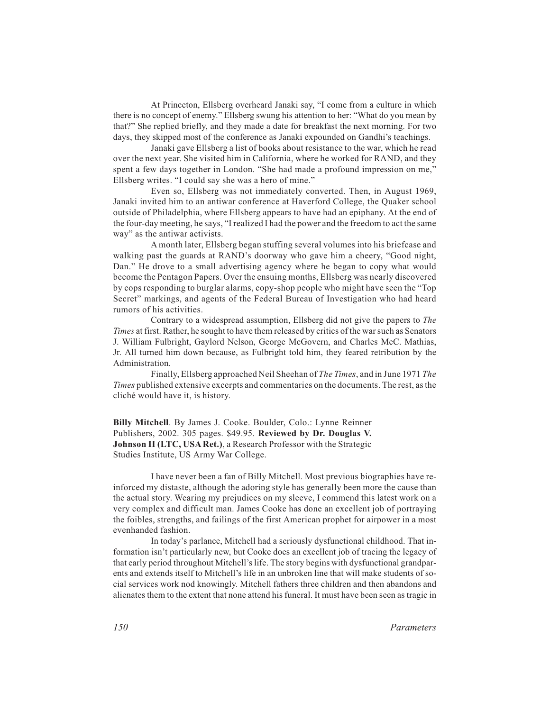At Princeton, Ellsberg overheard Janaki say, "I come from a culture in which there is no concept of enemy." Ellsberg swung his attention to her: "What do you mean by that?" She replied briefly, and they made a date for breakfast the next morning. For two days, they skipped most of the conference as Janaki expounded on Gandhi's teachings.

Janaki gave Ellsberg a list of books about resistance to the war, which he read over the next year. She visited him in California, where he worked for RAND, and they spent a few days together in London. "She had made a profound impression on me," Ellsberg writes. "I could say she was a hero of mine."

Even so, Ellsberg was not immediately converted. Then, in August 1969, Janaki invited him to an antiwar conference at Haverford College, the Quaker school outside of Philadelphia, where Ellsberg appears to have had an epiphany. At the end of the four-day meeting, he says, "I realized I had the power and the freedom to act the same way" as the antiwar activists.

A month later, Ellsberg began stuffing several volumes into his briefcase and walking past the guards at RAND's doorway who gave him a cheery, "Good night, Dan." He drove to a small advertising agency where he began to copy what would become the Pentagon Papers. Over the ensuing months, Ellsberg was nearly discovered by cops responding to burglar alarms, copy-shop people who might have seen the "Top Secret" markings, and agents of the Federal Bureau of Investigation who had heard rumors of his activities.

Contrary to a widespread assumption, Ellsberg did not give the papers to *The Times* at first. Rather, he sought to have them released by critics of the war such as Senators J. William Fulbright, Gaylord Nelson, George McGovern, and Charles McC. Mathias, Jr. All turned him down because, as Fulbright told him, they feared retribution by the Administration.

Finally, Ellsberg approached Neil Sheehan of *The Times*, and in June 1971 *The Times* published extensive excerpts and commentaries on the documents. The rest, as the cliché would have it, is history.

**Billy Mitchell**. By James J. Cooke. Boulder, Colo.: Lynne Reinner Publishers, 2002. 305 pages. \$49.95. **Reviewed by Dr. Douglas V. Johnson II (LTC, USA Ret.)**, a Research Professor with the Strategic Studies Institute, US Army War College.

I have never been a fan of Billy Mitchell. Most previous biographies have reinforced my distaste, although the adoring style has generally been more the cause than the actual story. Wearing my prejudices on my sleeve, I commend this latest work on a very complex and difficult man. James Cooke has done an excellent job of portraying the foibles, strengths, and failings of the first American prophet for airpower in a most evenhanded fashion.

In today's parlance, Mitchell had a seriously dysfunctional childhood. That information isn't particularly new, but Cooke does an excellent job of tracing the legacy of that early period throughout Mitchell's life. The story begins with dysfunctional grandparents and extends itself to Mitchell's life in an unbroken line that will make students of social services work nod knowingly. Mitchell fathers three children and then abandons and alienates them to the extent that none attend his funeral. It must have been seen as tragic in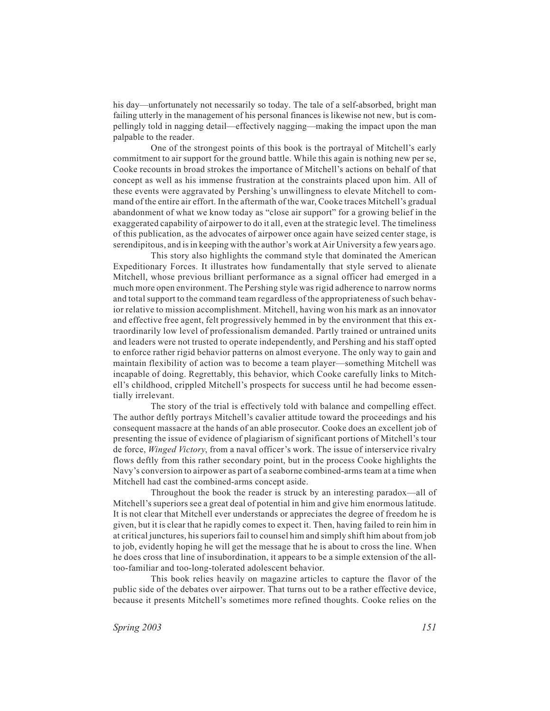his day—unfortunately not necessarily so today. The tale of a self-absorbed, bright man failing utterly in the management of his personal finances is likewise not new, but is compellingly told in nagging detail—effectively nagging—making the impact upon the man palpable to the reader.

One of the strongest points of this book is the portrayal of Mitchell's early commitment to air support for the ground battle. While this again is nothing new per se, Cooke recounts in broad strokes the importance of Mitchell's actions on behalf of that concept as well as his immense frustration at the constraints placed upon him. All of these events were aggravated by Pershing's unwillingness to elevate Mitchell to command of the entire air effort. In the aftermath of the war, Cooke traces Mitchell's gradual abandonment of what we know today as "close air support" for a growing belief in the exaggerated capability of airpower to do it all, even at the strategic level. The timeliness of this publication, as the advocates of airpower once again have seized center stage, is serendipitous, and is in keeping with the author's work at Air University a few years ago.

This story also highlights the command style that dominated the American Expeditionary Forces. It illustrates how fundamentally that style served to alienate Mitchell, whose previous brilliant performance as a signal officer had emerged in a much more open environment. The Pershing style was rigid adherence to narrow norms and total support to the command team regardless of the appropriateness of such behavior relative to mission accomplishment. Mitchell, having won his mark as an innovator and effective free agent, felt progressively hemmed in by the environment that this extraordinarily low level of professionalism demanded. Partly trained or untrained units and leaders were not trusted to operate independently, and Pershing and his staff opted to enforce rather rigid behavior patterns on almost everyone. The only way to gain and maintain flexibility of action was to become a team player—something Mitchell was incapable of doing. Regrettably, this behavior, which Cooke carefully links to Mitchell's childhood, crippled Mitchell's prospects for success until he had become essentially irrelevant.

The story of the trial is effectively told with balance and compelling effect. The author deftly portrays Mitchell's cavalier attitude toward the proceedings and his consequent massacre at the hands of an able prosecutor. Cooke does an excellent job of presenting the issue of evidence of plagiarism of significant portions of Mitchell's tour de force, *Winged Victory*, from a naval officer's work. The issue of interservice rivalry flows deftly from this rather secondary point, but in the process Cooke highlights the Navy's conversion to airpower as part of a seaborne combined-arms team at a time when Mitchell had cast the combined-arms concept aside.

Throughout the book the reader is struck by an interesting paradox—all of Mitchell's superiors see a great deal of potential in him and give him enormous latitude. It is not clear that Mitchell ever understands or appreciates the degree of freedom he is given, but it is clear that he rapidly comes to expect it. Then, having failed to rein him in at critical junctures, his superiors fail to counsel him and simply shift him about from job to job, evidently hoping he will get the message that he is about to cross the line. When he does cross that line of insubordination, it appears to be a simple extension of the alltoo-familiar and too-long-tolerated adolescent behavior.

This book relies heavily on magazine articles to capture the flavor of the public side of the debates over airpower. That turns out to be a rather effective device, because it presents Mitchell's sometimes more refined thoughts. Cooke relies on the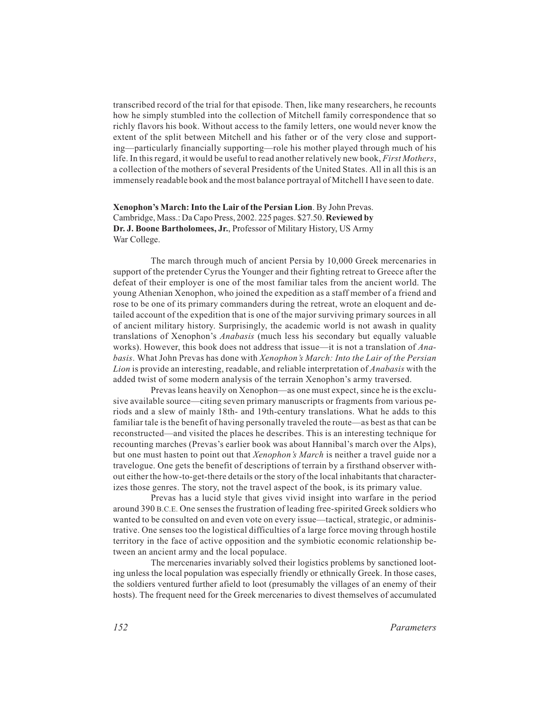transcribed record of the trial for that episode. Then, like many researchers, he recounts how he simply stumbled into the collection of Mitchell family correspondence that so richly flavors his book. Without access to the family letters, one would never know the extent of the split between Mitchell and his father or of the very close and supporting—particularly financially supporting—role his mother played through much of his life. In this regard, it would be useful to read another relatively new book, *First Mothers*, a collection of the mothers of several Presidents of the United States. All in all this is an immensely readable book and the most balance portrayal of Mitchell I have seen to date.

#### **Xenophon's March: Into the Lair of the Persian Lion**. By John Prevas. Cambridge, Mass.: Da Capo Press, 2002. 225 pages. \$27.50. **Reviewed by Dr. J. Boone Bartholomees, Jr.**, Professor of Military History, US Army War College.

The march through much of ancient Persia by 10,000 Greek mercenaries in support of the pretender Cyrus the Younger and their fighting retreat to Greece after the defeat of their employer is one of the most familiar tales from the ancient world. The young Athenian Xenophon, who joined the expedition as a staff member of a friend and rose to be one of its primary commanders during the retreat, wrote an eloquent and detailed account of the expedition that is one of the major surviving primary sources in all of ancient military history. Surprisingly, the academic world is not awash in quality translations of Xenophon's *Anabasis* (much less his secondary but equally valuable works). However, this book does not address that issue—it is not a translation of *Anabasis*. What John Prevas has done with *Xenophon's March: Into the Lair of the Persian Lion* is provide an interesting, readable, and reliable interpretation of *Anabasis* with the added twist of some modern analysis of the terrain Xenophon's army traversed.

Prevas leans heavily on Xenophon—as one must expect, since he is the exclusive available source—citing seven primary manuscripts or fragments from various periods and a slew of mainly 18th- and 19th-century translations. What he adds to this familiar tale is the benefit of having personally traveled the route—as best as that can be reconstructed—and visited the places he describes. This is an interesting technique for recounting marches (Prevas's earlier book was about Hannibal's march over the Alps), but one must hasten to point out that *Xenophon's March* is neither a travel guide nor a travelogue. One gets the benefit of descriptions of terrain by a firsthand observer without either the how-to-get-there details or the story of the local inhabitants that characterizes those genres. The story, not the travel aspect of the book, is its primary value.

Prevas has a lucid style that gives vivid insight into warfare in the period around 390 B.C.E. One senses the frustration of leading free-spirited Greek soldiers who wanted to be consulted on and even vote on every issue—tactical, strategic, or administrative. One senses too the logistical difficulties of a large force moving through hostile territory in the face of active opposition and the symbiotic economic relationship between an ancient army and the local populace.

The mercenaries invariably solved their logistics problems by sanctioned looting unless the local population was especially friendly or ethnically Greek. In those cases, the soldiers ventured further afield to loot (presumably the villages of an enemy of their hosts). The frequent need for the Greek mercenaries to divest themselves of accumulated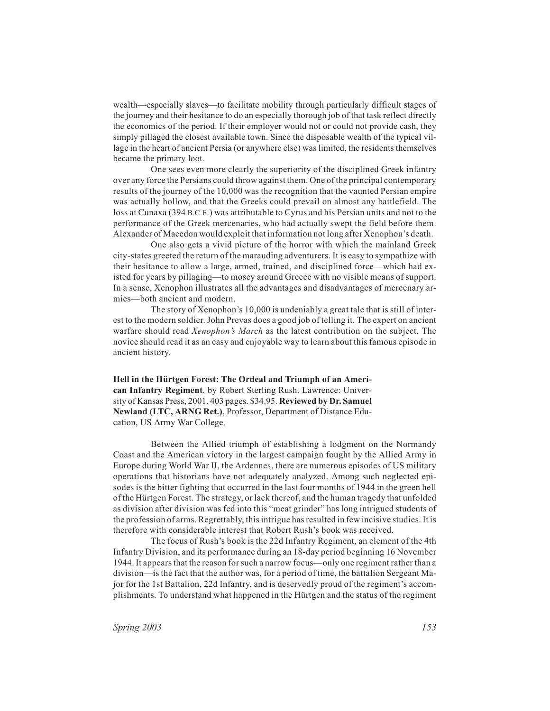wealth—especially slaves—to facilitate mobility through particularly difficult stages of the journey and their hesitance to do an especially thorough job of that task reflect directly the economics of the period. If their employer would not or could not provide cash, they simply pillaged the closest available town. Since the disposable wealth of the typical village in the heart of ancient Persia (or anywhere else) was limited, the residents themselves became the primary loot.

One sees even more clearly the superiority of the disciplined Greek infantry over any force the Persians could throw against them. One of the principal contemporary results of the journey of the 10,000 was the recognition that the vaunted Persian empire was actually hollow, and that the Greeks could prevail on almost any battlefield. The loss at Cunaxa (394 B.C.E.) was attributable to Cyrus and his Persian units and not to the performance of the Greek mercenaries, who had actually swept the field before them. Alexander of Macedon would exploit that information not long after Xenophon's death.

One also gets a vivid picture of the horror with which the mainland Greek city-states greeted the return of the marauding adventurers. It is easy to sympathize with their hesitance to allow a large, armed, trained, and disciplined force—which had existed for years by pillaging—to mosey around Greece with no visible means of support. In a sense, Xenophon illustrates all the advantages and disadvantages of mercenary armies—both ancient and modern.

The story of Xenophon's 10,000 is undeniably a great tale that is still of interest to the modern soldier. John Prevas does a good job of telling it. The expert on ancient warfare should read *Xenophon's March* as the latest contribution on the subject. The novice should read it as an easy and enjoyable way to learn about this famous episode in ancient history.

**Hell in the Hürtgen Forest: The Ordeal and Triumph of an American Infantry Regiment**. by Robert Sterling Rush. Lawrence: University of Kansas Press, 2001. 403 pages. \$34.95. **Reviewed by Dr. Samuel Newland (LTC, ARNG Ret.)**, Professor, Department of Distance Education, US Army War College.

Between the Allied triumph of establishing a lodgment on the Normandy Coast and the American victory in the largest campaign fought by the Allied Army in Europe during World War II, the Ardennes, there are numerous episodes of US military operations that historians have not adequately analyzed. Among such neglected episodes is the bitter fighting that occurred in the last four months of 1944 in the green hell of the Hürtgen Forest. The strategy, or lack thereof, and the human tragedy that unfolded as division after division was fed into this "meat grinder" has long intrigued students of the profession of arms. Regrettably, this intrigue has resulted in few incisive studies. It is therefore with considerable interest that Robert Rush's book was received.

The focus of Rush's book is the 22d Infantry Regiment, an element of the 4th Infantry Division, and its performance during an 18-day period beginning 16 November 1944. It appears that the reason for such a narrow focus—only one regiment rather than a division—is the fact that the author was, for a period of time, the battalion Sergeant Major for the 1st Battalion, 22d Infantry, and is deservedly proud of the regiment's accomplishments. To understand what happened in the Hürtgen and the status of the regiment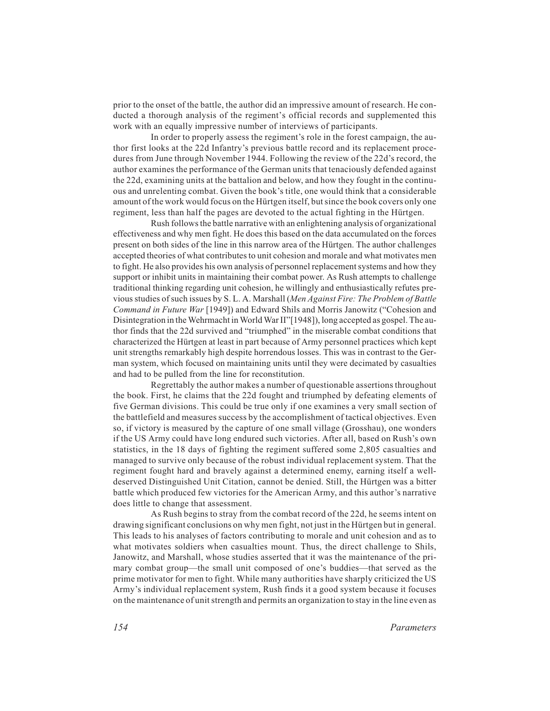prior to the onset of the battle, the author did an impressive amount of research. He conducted a thorough analysis of the regiment's official records and supplemented this work with an equally impressive number of interviews of participants.

In order to properly assess the regiment's role in the forest campaign, the author first looks at the 22d Infantry's previous battle record and its replacement procedures from June through November 1944. Following the review of the 22d's record, the author examines the performance of the German units that tenaciously defended against the 22d, examining units at the battalion and below, and how they fought in the continuous and unrelenting combat. Given the book's title, one would think that a considerable amount of the work would focus on the Hürtgen itself, but since the book covers only one regiment, less than half the pages are devoted to the actual fighting in the Hürtgen.

Rush follows the battle narrative with an enlightening analysis of organizational effectiveness and why men fight. He does this based on the data accumulated on the forces present on both sides of the line in this narrow area of the Hürtgen. The author challenges accepted theories of what contributes to unit cohesion and morale and what motivates men to fight. He also provides his own analysis of personnel replacement systems and how they support or inhibit units in maintaining their combat power. As Rush attempts to challenge traditional thinking regarding unit cohesion, he willingly and enthusiastically refutes previous studies of such issues by S. L. A. Marshall (*Men Against Fire: The Problem of Battle Command in Future War* [1949]) and Edward Shils and Morris Janowitz ("Cohesion and Disintegration in the Wehrmacht in World War II"[1948]), long accepted as gospel. The author finds that the 22d survived and "triumphed" in the miserable combat conditions that characterized the Hürtgen at least in part because of Army personnel practices which kept unit strengths remarkably high despite horrendous losses. This was in contrast to the German system, which focused on maintaining units until they were decimated by casualties and had to be pulled from the line for reconstitution.

Regrettably the author makes a number of questionable assertions throughout the book. First, he claims that the 22d fought and triumphed by defeating elements of five German divisions. This could be true only if one examines a very small section of the battlefield and measures success by the accomplishment of tactical objectives. Even so, if victory is measured by the capture of one small village (Grosshau), one wonders if the US Army could have long endured such victories. After all, based on Rush's own statistics, in the 18 days of fighting the regiment suffered some 2,805 casualties and managed to survive only because of the robust individual replacement system. That the regiment fought hard and bravely against a determined enemy, earning itself a welldeserved Distinguished Unit Citation, cannot be denied. Still, the Hürtgen was a bitter battle which produced few victories for the American Army, and this author's narrative does little to change that assessment.

As Rush begins to stray from the combat record of the 22d, he seems intent on drawing significant conclusions on why men fight, not just in the Hürtgen but in general. This leads to his analyses of factors contributing to morale and unit cohesion and as to what motivates soldiers when casualties mount. Thus, the direct challenge to Shils, Janowitz, and Marshall, whose studies asserted that it was the maintenance of the primary combat group—the small unit composed of one's buddies—that served as the prime motivator for men to fight. While many authorities have sharply criticized the US Army's individual replacement system, Rush finds it a good system because it focuses on the maintenance of unit strength and permits an organization to stay in the line even as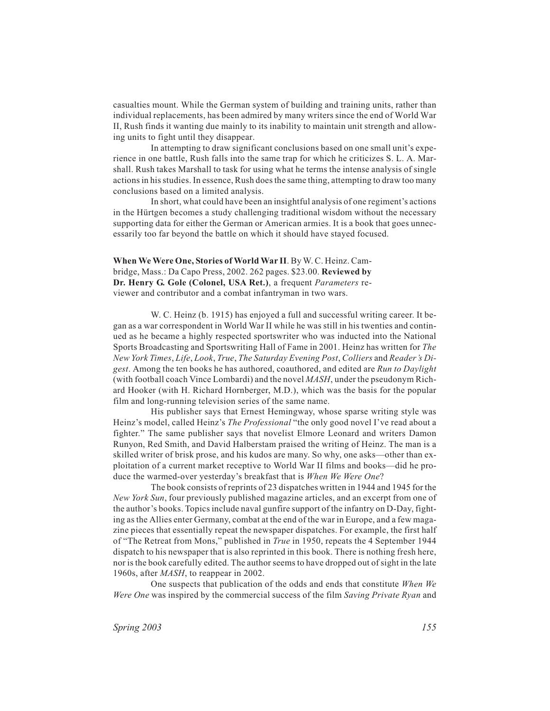casualties mount. While the German system of building and training units, rather than individual replacements, has been admired by many writers since the end of World War II, Rush finds it wanting due mainly to its inability to maintain unit strength and allowing units to fight until they disappear.

In attempting to draw significant conclusions based on one small unit's experience in one battle, Rush falls into the same trap for which he criticizes S. L. A. Marshall. Rush takes Marshall to task for using what he terms the intense analysis of single actions in his studies. In essence, Rush does the same thing, attempting to draw too many conclusions based on a limited analysis.

In short, what could have been an insightful analysis of one regiment's actions in the Hürtgen becomes a study challenging traditional wisdom without the necessary supporting data for either the German or American armies. It is a book that goes unnecessarily too far beyond the battle on which it should have stayed focused.

### **When We Were One, Stories of World War II**. By W. C. Heinz. Cambridge, Mass.: Da Capo Press, 2002. 262 pages. \$23.00. **Reviewed by Dr. Henry G. Gole (Colonel, USA Ret.)**, a frequent *Parameters* reviewer and contributor and a combat infantryman in two wars.

W. C. Heinz (b. 1915) has enjoyed a full and successful writing career. It began as a war correspondent in World War II while he was still in his twenties and continued as he became a highly respected sportswriter who was inducted into the National Sports Broadcasting and Sportswriting Hall of Fame in 2001. Heinz has written for *The New York Times*, *Life*, *Look*, *True*, *The Saturday Evening Post*, *Colliers* and *Reader's Digest*. Among the ten books he has authored, coauthored, and edited are *Run to Daylight* (with football coach Vince Lombardi) and the novel *MASH*, under the pseudonym Richard Hooker (with H. Richard Hornberger, M.D.), which was the basis for the popular film and long-running television series of the same name.

His publisher says that Ernest Hemingway, whose sparse writing style was Heinz's model, called Heinz's *The Professional* "the only good novel I've read about a fighter." The same publisher says that novelist Elmore Leonard and writers Damon Runyon, Red Smith, and David Halberstam praised the writing of Heinz. The man is a skilled writer of brisk prose, and his kudos are many. So why, one asks—other than exploitation of a current market receptive to World War II films and books—did he produce the warmed-over yesterday's breakfast that is *When We Were One*?

The book consists of reprints of 23 dispatches written in 1944 and 1945 for the *New York Sun*, four previously published magazine articles, and an excerpt from one of the author's books. Topics include naval gunfire support of the infantry on D-Day, fighting as the Allies enter Germany, combat at the end of the war in Europe, and a few magazine pieces that essentially repeat the newspaper dispatches. For example, the first half of "The Retreat from Mons," published in *True* in 1950, repeats the 4 September 1944 dispatch to his newspaper that is also reprinted in this book. There is nothing fresh here, nor is the book carefully edited. The author seems to have dropped out of sight in the late 1960s, after *MASH*, to reappear in 2002.

One suspects that publication of the odds and ends that constitute *When We Were One* was inspired by the commercial success of the film *Saving Private Ryan* and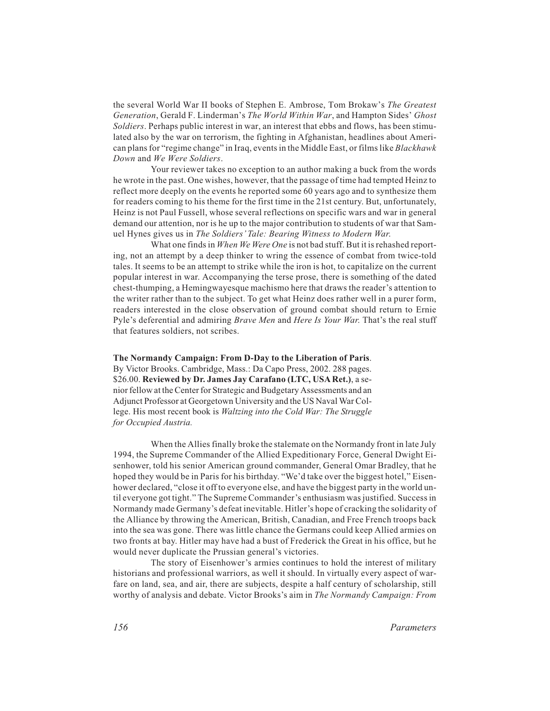the several World War II books of Stephen E. Ambrose, Tom Brokaw's *The Greatest Generation*, Gerald F. Linderman's *The World Within War*, and Hampton Sides' *Ghost Soldiers*. Perhaps public interest in war, an interest that ebbs and flows, has been stimulated also by the war on terrorism, the fighting in Afghanistan, headlines about American plans for "regime change" in Iraq, events in the Middle East, or films like *Blackhawk Down* and *We Were Soldiers*.

Your reviewer takes no exception to an author making a buck from the words he wrote in the past. One wishes, however, that the passage of time had tempted Heinz to reflect more deeply on the events he reported some 60 years ago and to synthesize them for readers coming to his theme for the first time in the 21st century. But, unfortunately, Heinz is not Paul Fussell, whose several reflections on specific wars and war in general demand our attention, nor is he up to the major contribution to students of war that Samuel Hynes gives us in *The Soldiers' Tale: Bearing Witness to Modern War*.

What one finds in *When We Were One* is not bad stuff. But it is rehashed reporting, not an attempt by a deep thinker to wring the essence of combat from twice-told tales. It seems to be an attempt to strike while the iron is hot, to capitalize on the current popular interest in war. Accompanying the terse prose, there is something of the dated chest-thumping, a Hemingwayesque machismo here that draws the reader's attention to the writer rather than to the subject. To get what Heinz does rather well in a purer form, readers interested in the close observation of ground combat should return to Ernie Pyle's deferential and admiring *Brave Men* and *Here Is Your War*. That's the real stuff that features soldiers, not scribes.

**The Normandy Campaign: From D-Day to the Liberation of Paris**. By Victor Brooks. Cambridge, Mass.: Da Capo Press, 2002. 288 pages. \$26.00. **Reviewed by Dr. James Jay Carafano (LTC, USA Ret.)**, a senior fellow at the Center for Strategic and Budgetary Assessments and an Adjunct Professor at Georgetown University and the US Naval War College. His most recent book is *Waltzing into the Cold War: The Struggle for Occupied Austria.*

When the Allies finally broke the stalemate on the Normandy front in late July 1994, the Supreme Commander of the Allied Expeditionary Force, General Dwight Eisenhower, told his senior American ground commander, General Omar Bradley, that he hoped they would be in Paris for his birthday. "We'd take over the biggest hotel," Eisenhower declared, "close it off to everyone else, and have the biggest party in the world until everyone got tight." The Supreme Commander's enthusiasm was justified. Success in Normandy made Germany's defeat inevitable. Hitler's hope of cracking the solidarity of the Alliance by throwing the American, British, Canadian, and Free French troops back into the sea was gone. There was little chance the Germans could keep Allied armies on two fronts at bay. Hitler may have had a bust of Frederick the Great in his office, but he would never duplicate the Prussian general's victories.

The story of Eisenhower's armies continues to hold the interest of military historians and professional warriors, as well it should. In virtually every aspect of warfare on land, sea, and air, there are subjects, despite a half century of scholarship, still worthy of analysis and debate. Victor Brooks's aim in *The Normandy Campaign: From*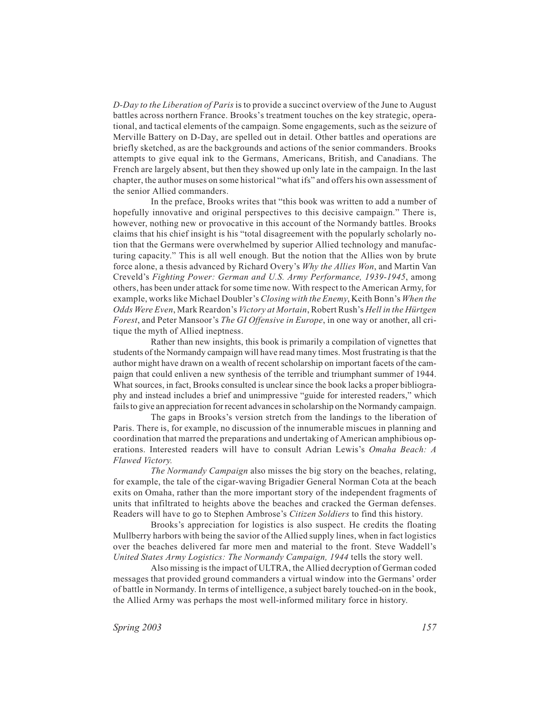*D-Day to the Liberation of Paris* is to provide a succinct overview of the June to August battles across northern France. Brooks's treatment touches on the key strategic, operational, and tactical elements of the campaign. Some engagements, such as the seizure of Merville Battery on D-Day, are spelled out in detail. Other battles and operations are briefly sketched, as are the backgrounds and actions of the senior commanders. Brooks attempts to give equal ink to the Germans, Americans, British, and Canadians. The French are largely absent, but then they showed up only late in the campaign. In the last chapter, the author muses on some historical "what ifs" and offers his own assessment of the senior Allied commanders.

In the preface, Brooks writes that "this book was written to add a number of hopefully innovative and original perspectives to this decisive campaign." There is, however, nothing new or provocative in this account of the Normandy battles. Brooks claims that his chief insight is his "total disagreement with the popularly scholarly notion that the Germans were overwhelmed by superior Allied technology and manufacturing capacity." This is all well enough. But the notion that the Allies won by brute force alone, a thesis advanced by Richard Overy's *Why the Allies Won*, and Martin Van Creveld's *Fighting Power: German and U.S. Army Performance, 1939-1945*, among others, has been under attack for some time now. With respect to the American Army, for example, works like Michael Doubler's *Closing with the Enemy*, Keith Bonn's *When the Odds Were Even*, Mark Reardon's *Victory at Mortain*, Robert Rush's *Hell in the Hürtgen Forest*, and Peter Mansoor's *The GI Offensive in Europe*, in one way or another, all critique the myth of Allied ineptness.

Rather than new insights, this book is primarily a compilation of vignettes that students of the Normandy campaign will have read many times. Most frustrating is that the author might have drawn on a wealth of recent scholarship on important facets of the campaign that could enliven a new synthesis of the terrible and triumphant summer of 1944. What sources, in fact, Brooks consulted is unclear since the book lacks a proper bibliography and instead includes a brief and unimpressive "guide for interested readers," which fails to give an appreciation for recent advances in scholarship on the Normandy campaign.

The gaps in Brooks's version stretch from the landings to the liberation of Paris. There is, for example, no discussion of the innumerable miscues in planning and coordination that marred the preparations and undertaking of American amphibious operations. Interested readers will have to consult Adrian Lewis's *Omaha Beach: A Flawed Victory.*

*The Normandy Campaign* also misses the big story on the beaches, relating, for example, the tale of the cigar-waving Brigadier General Norman Cota at the beach exits on Omaha, rather than the more important story of the independent fragments of units that infiltrated to heights above the beaches and cracked the German defenses. Readers will have to go to Stephen Ambrose's *Citizen Soldiers* to find this history.

Brooks's appreciation for logistics is also suspect. He credits the floating Mullberry harbors with being the savior of the Allied supply lines, when in fact logistics over the beaches delivered far more men and material to the front. Steve Waddell's *United States Army Logistics: The Normandy Campaign, 1944* tells the story well.

Also missing is the impact of ULTRA, the Allied decryption of German coded messages that provided ground commanders a virtual window into the Germans' order of battle in Normandy. In terms of intelligence, a subject barely touched-on in the book, the Allied Army was perhaps the most well-informed military force in history.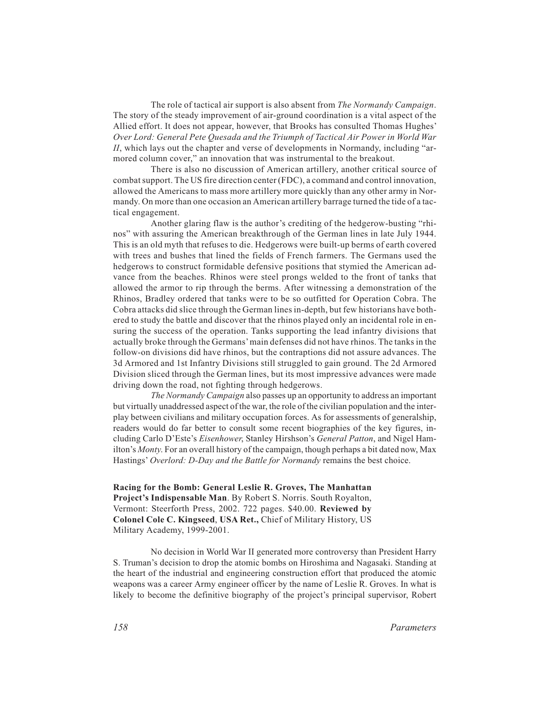The role of tactical air support is also absent from *The Normandy Campaign*. The story of the steady improvement of air-ground coordination is a vital aspect of the Allied effort. It does not appear, however, that Brooks has consulted Thomas Hughes' *Over Lord: General Pete Quesada and the Triumph of Tactical Air Power in World War II*, which lays out the chapter and verse of developments in Normandy, including "armored column cover," an innovation that was instrumental to the breakout.

There is also no discussion of American artillery, another critical source of combat support. The US fire direction center (FDC), a command and control innovation, allowed the Americans to mass more artillery more quickly than any other army in Normandy. On more than one occasion an American artillery barrage turned the tide of a tactical engagement.

Another glaring flaw is the author's crediting of the hedgerow-busting "rhinos" with assuring the American breakthrough of the German lines in late July 1944. This is an old myth that refuses to die. Hedgerows were built-up berms of earth covered with trees and bushes that lined the fields of French farmers. The Germans used the hedgerows to construct formidable defensive positions that stymied the American advance from the beaches. Rhinos were steel prongs welded to the front of tanks that allowed the armor to rip through the berms. After witnessing a demonstration of the Rhinos, Bradley ordered that tanks were to be so outfitted for Operation Cobra. The Cobra attacks did slice through the German lines in-depth, but few historians have bothered to study the battle and discover that the rhinos played only an incidental role in ensuring the success of the operation. Tanks supporting the lead infantry divisions that actually broke through the Germans'main defenses did not have rhinos. The tanks in the follow-on divisions did have rhinos, but the contraptions did not assure advances. The 3d Armored and 1st Infantry Divisions still struggled to gain ground. The 2d Armored Division sliced through the German lines, but its most impressive advances were made driving down the road, not fighting through hedgerows.

*The Normandy Campaign* also passes up an opportunity to address an important but virtually unaddressed aspect of the war, the role of the civilian population and the interplay between civilians and military occupation forces. As for assessments of generalship, readers would do far better to consult some recent biographies of the key figures, including Carlo D'Este's *Eisenhower*, Stanley Hirshson's *General Patton*, and Nigel Hamilton's *Monty*. For an overall history of the campaign, though perhaps a bit dated now, Max Hastings' *Overlord: D-Day and the Battle for Normandy* remains the best choice.

**Racing for the Bomb: General Leslie R. Groves, The Manhattan Project's Indispensable Man**. By Robert S. Norris. South Royalton, Vermont: Steerforth Press, 2002. 722 pages. \$40.00. **Reviewed by Colonel Cole C. Kingseed**, **USA Ret.,** Chief of Military History, US Military Academy, 1999-2001.

No decision in World War II generated more controversy than President Harry S. Truman's decision to drop the atomic bombs on Hiroshima and Nagasaki. Standing at the heart of the industrial and engineering construction effort that produced the atomic weapons was a career Army engineer officer by the name of Leslie R. Groves. In what is likely to become the definitive biography of the project's principal supervisor, Robert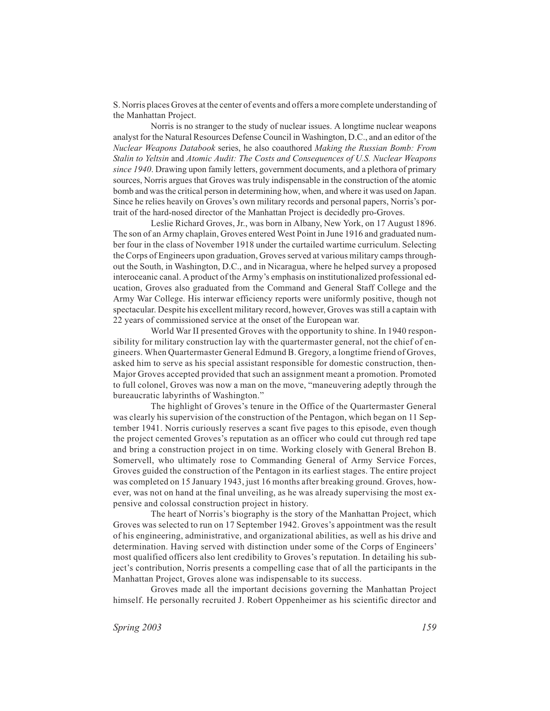S. Norris places Groves at the center of events and offers a more complete understanding of the Manhattan Project.

Norris is no stranger to the study of nuclear issues. A longtime nuclear weapons analyst for the Natural Resources Defense Council in Washington, D.C., and an editor of the *Nuclear Weapons Databook* series, he also coauthored *Making the Russian Bomb: From Stalin to Yeltsin* and *Atomic Audit: The Costs and Consequences of U.S. Nuclear Weapons since 1940*. Drawing upon family letters, government documents, and a plethora of primary sources, Norris argues that Groves was truly indispensable in the construction of the atomic bomb and was the critical person in determining how, when, and where it was used on Japan. Since he relies heavily on Groves's own military records and personal papers, Norris's portrait of the hard-nosed director of the Manhattan Project is decidedly pro-Groves.

Leslie Richard Groves, Jr., was born in Albany, New York, on 17 August 1896. The son of an Army chaplain, Groves entered West Point in June 1916 and graduated number four in the class of November 1918 under the curtailed wartime curriculum. Selecting the Corps of Engineers upon graduation, Groves served at various military camps throughout the South, in Washington, D.C., and in Nicaragua, where he helped survey a proposed interoceanic canal. A product of the Army's emphasis on institutionalized professional education, Groves also graduated from the Command and General Staff College and the Army War College. His interwar efficiency reports were uniformly positive, though not spectacular. Despite his excellent military record, however, Groves was still a captain with 22 years of commissioned service at the onset of the European war.

World War II presented Groves with the opportunity to shine. In 1940 responsibility for military construction lay with the quartermaster general, not the chief of engineers. When Quartermaster General Edmund B. Gregory, a longtime friend of Groves, asked him to serve as his special assistant responsible for domestic construction, then-Major Groves accepted provided that such an assignment meant a promotion. Promoted to full colonel, Groves was now a man on the move, "maneuvering adeptly through the bureaucratic labyrinths of Washington."

The highlight of Groves's tenure in the Office of the Quartermaster General was clearly his supervision of the construction of the Pentagon, which began on 11 September 1941. Norris curiously reserves a scant five pages to this episode, even though the project cemented Groves's reputation as an officer who could cut through red tape and bring a construction project in on time. Working closely with General Brehon B. Somervell, who ultimately rose to Commanding General of Army Service Forces, Groves guided the construction of the Pentagon in its earliest stages. The entire project was completed on 15 January 1943, just 16 months after breaking ground. Groves, however, was not on hand at the final unveiling, as he was already supervising the most expensive and colossal construction project in history.

The heart of Norris's biography is the story of the Manhattan Project, which Groves was selected to run on 17 September 1942. Groves's appointment was the result of his engineering, administrative, and organizational abilities, as well as his drive and determination. Having served with distinction under some of the Corps of Engineers' most qualified officers also lent credibility to Groves's reputation. In detailing his subject's contribution, Norris presents a compelling case that of all the participants in the Manhattan Project, Groves alone was indispensable to its success.

Groves made all the important decisions governing the Manhattan Project himself. He personally recruited J. Robert Oppenheimer as his scientific director and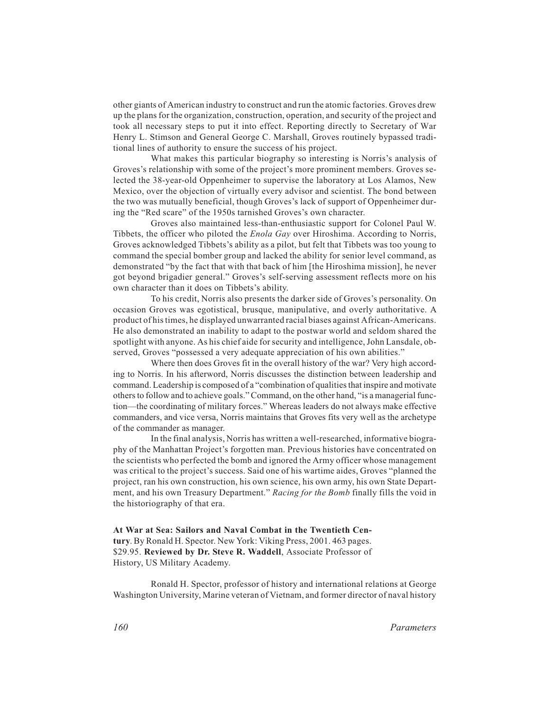other giants of American industry to construct and run the atomic factories. Groves drew up the plans for the organization, construction, operation, and security of the project and took all necessary steps to put it into effect. Reporting directly to Secretary of War Henry L. Stimson and General George C. Marshall, Groves routinely bypassed traditional lines of authority to ensure the success of his project.

What makes this particular biography so interesting is Norris's analysis of Groves's relationship with some of the project's more prominent members. Groves selected the 38-year-old Oppenheimer to supervise the laboratory at Los Alamos, New Mexico, over the objection of virtually every advisor and scientist. The bond between the two was mutually beneficial, though Groves's lack of support of Oppenheimer during the "Red scare" of the 1950s tarnished Groves's own character.

Groves also maintained less-than-enthusiastic support for Colonel Paul W. Tibbets, the officer who piloted the *Enola Gay* over Hiroshima. According to Norris, Groves acknowledged Tibbets's ability as a pilot, but felt that Tibbets was too young to command the special bomber group and lacked the ability for senior level command, as demonstrated "by the fact that with that back of him [the Hiroshima mission], he never got beyond brigadier general." Groves's self-serving assessment reflects more on his own character than it does on Tibbets's ability.

To his credit, Norris also presents the darker side of Groves's personality. On occasion Groves was egotistical, brusque, manipulative, and overly authoritative. A product of his times, he displayed unwarranted racial biases against African-Americans. He also demonstrated an inability to adapt to the postwar world and seldom shared the spotlight with anyone. As his chief aide for security and intelligence, John Lansdale, observed, Groves "possessed a very adequate appreciation of his own abilities."

Where then does Groves fit in the overall history of the war? Very high according to Norris. In his afterword, Norris discusses the distinction between leadership and command. Leadership is composed of a "combination of qualities that inspire and motivate others to follow and to achieve goals." Command, on the other hand, "is a managerial function—the coordinating of military forces." Whereas leaders do not always make effective commanders, and vice versa, Norris maintains that Groves fits very well as the archetype of the commander as manager.

In the final analysis, Norris has written a well-researched, informative biography of the Manhattan Project's forgotten man. Previous histories have concentrated on the scientists who perfected the bomb and ignored the Army officer whose management was critical to the project's success. Said one of his wartime aides, Groves "planned the project, ran his own construction, his own science, his own army, his own State Department, and his own Treasury Department." *Racing for the Bomb* finally fills the void in the historiography of that era.

**At War at Sea: Sailors and Naval Combat in the Twentieth Century**. By Ronald H. Spector. New York: Viking Press, 2001. 463 pages. \$29.95. **Reviewed by Dr. Steve R. Waddell**, Associate Professor of History, US Military Academy.

Ronald H. Spector, professor of history and international relations at George Washington University, Marine veteran of Vietnam, and former director of naval history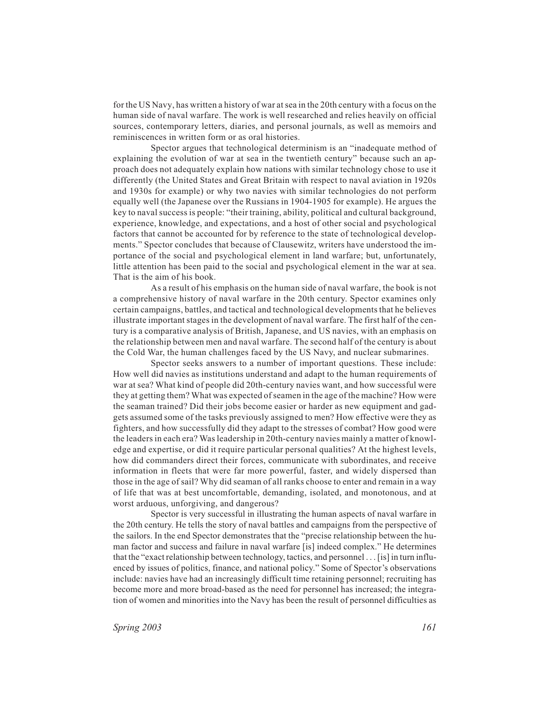for the US Navy, has written a history of war at sea in the 20th century with a focus on the human side of naval warfare. The work is well researched and relies heavily on official sources, contemporary letters, diaries, and personal journals, as well as memoirs and reminiscences in written form or as oral histories.

Spector argues that technological determinism is an "inadequate method of explaining the evolution of war at sea in the twentieth century" because such an approach does not adequately explain how nations with similar technology chose to use it differently (the United States and Great Britain with respect to naval aviation in 1920s and 1930s for example) or why two navies with similar technologies do not perform equally well (the Japanese over the Russians in 1904-1905 for example). He argues the key to naval success is people: "their training, ability, political and cultural background, experience, knowledge, and expectations, and a host of other social and psychological factors that cannot be accounted for by reference to the state of technological developments." Spector concludes that because of Clausewitz, writers have understood the importance of the social and psychological element in land warfare; but, unfortunately, little attention has been paid to the social and psychological element in the war at sea. That is the aim of his book.

As a result of his emphasis on the human side of naval warfare, the book is not a comprehensive history of naval warfare in the 20th century. Spector examines only certain campaigns, battles, and tactical and technological developments that he believes illustrate important stages in the development of naval warfare. The first half of the century is a comparative analysis of British, Japanese, and US navies, with an emphasis on the relationship between men and naval warfare. The second half of the century is about the Cold War, the human challenges faced by the US Navy, and nuclear submarines.

Spector seeks answers to a number of important questions. These include: How well did navies as institutions understand and adapt to the human requirements of war at sea? What kind of people did 20th-century navies want, and how successful were they at getting them? What was expected of seamen in the age of the machine? How were the seaman trained? Did their jobs become easier or harder as new equipment and gadgets assumed some of the tasks previously assigned to men? How effective were they as fighters, and how successfully did they adapt to the stresses of combat? How good were the leaders in each era? Was leadership in 20th-century navies mainly a matter of knowledge and expertise, or did it require particular personal qualities? At the highest levels, how did commanders direct their forces, communicate with subordinates, and receive information in fleets that were far more powerful, faster, and widely dispersed than those in the age of sail? Why did seaman of all ranks choose to enter and remain in a way of life that was at best uncomfortable, demanding, isolated, and monotonous, and at worst arduous, unforgiving, and dangerous?

Spector is very successful in illustrating the human aspects of naval warfare in the 20th century. He tells the story of naval battles and campaigns from the perspective of the sailors. In the end Spector demonstrates that the "precise relationship between the human factor and success and failure in naval warfare [is] indeed complex." He determines that the "exact relationship between technology, tactics, and personnel... [is] in turn influenced by issues of politics, finance, and national policy." Some of Spector's observations include: navies have had an increasingly difficult time retaining personnel; recruiting has become more and more broad-based as the need for personnel has increased; the integration of women and minorities into the Navy has been the result of personnel difficulties as